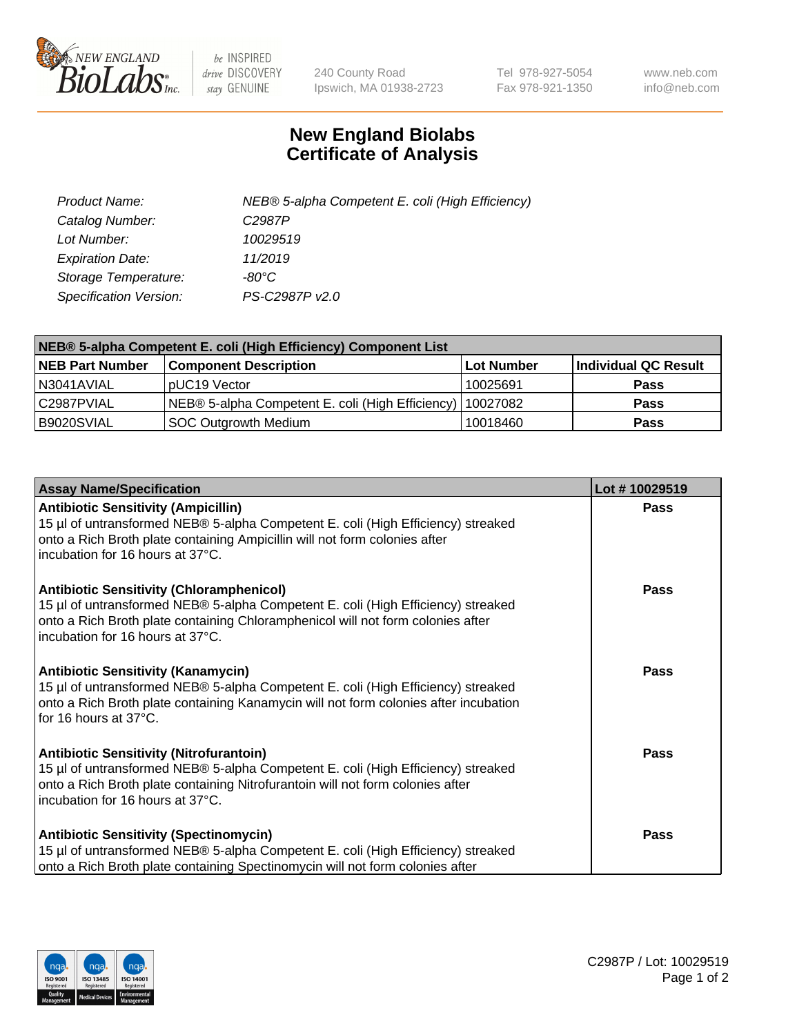

 $be$  INSPIRED drive DISCOVERY stay GENUINE

240 County Road Ipswich, MA 01938-2723 Tel 978-927-5054 Fax 978-921-1350 www.neb.com info@neb.com

## **New England Biolabs Certificate of Analysis**

| Product Name:           | NEB® 5-alpha Competent E. coli (High Efficiency) |
|-------------------------|--------------------------------------------------|
| Catalog Number:         | C <sub>2987</sub> P                              |
| Lot Number:             | 10029519                                         |
| <b>Expiration Date:</b> | 11/2019                                          |
| Storage Temperature:    | -80°C                                            |
| Specification Version:  | PS-C2987P v2.0                                   |

| NEB® 5-alpha Competent E. coli (High Efficiency) Component List |                                                  |            |                      |  |
|-----------------------------------------------------------------|--------------------------------------------------|------------|----------------------|--|
| <b>NEB Part Number</b>                                          | <b>Component Description</b>                     | Lot Number | Individual QC Result |  |
| N3041AVIAL                                                      | pUC19 Vector                                     | 10025691   | <b>Pass</b>          |  |
| C2987PVIAL                                                      | NEB® 5-alpha Competent E. coli (High Efficiency) | 10027082   | <b>Pass</b>          |  |
| B9020SVIAL                                                      | SOC Outgrowth Medium                             | 10018460   | <b>Pass</b>          |  |

| <b>Assay Name/Specification</b>                                                                                                                                                                                                                            | Lot #10029519 |
|------------------------------------------------------------------------------------------------------------------------------------------------------------------------------------------------------------------------------------------------------------|---------------|
| <b>Antibiotic Sensitivity (Ampicillin)</b><br>15 µl of untransformed NEB® 5-alpha Competent E. coli (High Efficiency) streaked<br>onto a Rich Broth plate containing Ampicillin will not form colonies after<br>incubation for 16 hours at 37°C.           | <b>Pass</b>   |
| <b>Antibiotic Sensitivity (Chloramphenicol)</b><br>15 µl of untransformed NEB® 5-alpha Competent E. coli (High Efficiency) streaked<br>onto a Rich Broth plate containing Chloramphenicol will not form colonies after<br>incubation for 16 hours at 37°C. | Pass          |
| Antibiotic Sensitivity (Kanamycin)<br>15 µl of untransformed NEB® 5-alpha Competent E. coli (High Efficiency) streaked<br>onto a Rich Broth plate containing Kanamycin will not form colonies after incubation<br>for 16 hours at 37°C.                    | Pass          |
| <b>Antibiotic Sensitivity (Nitrofurantoin)</b><br>15 µl of untransformed NEB® 5-alpha Competent E. coli (High Efficiency) streaked<br>onto a Rich Broth plate containing Nitrofurantoin will not form colonies after<br>incubation for 16 hours at 37°C.   | <b>Pass</b>   |
| <b>Antibiotic Sensitivity (Spectinomycin)</b><br>15 µl of untransformed NEB® 5-alpha Competent E. coli (High Efficiency) streaked<br>onto a Rich Broth plate containing Spectinomycin will not form colonies after                                         | Pass          |